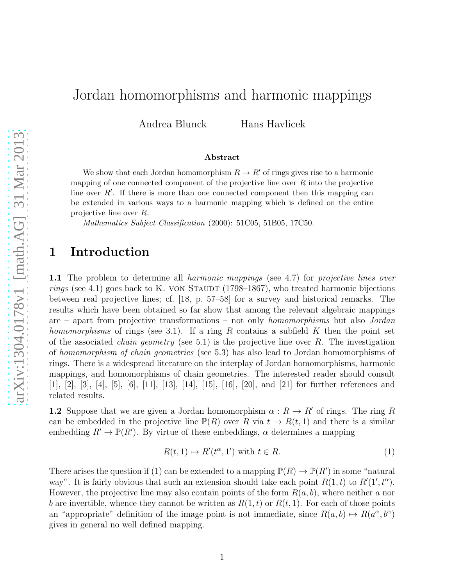# Jordan homomorphisms and harmonic mappings

Andrea Blunck Hans Havlicek

#### Abstract

We show that each Jordan homomorphism  $R \to R'$  of rings gives rise to a harmonic mapping of one connected component of the projective line over  $R$  into the projective line over  $R'$ . If there is more than one connected component then this mapping can be extended in various ways to a harmonic mapping which is defined on the entire projective line over R.

Mathematics Subject Classification (2000): 51C05, 51B05, 17C50.

#### 1 Introduction

1.1 The problem to determine all *harmonic mappings* (see 4.7) for *projective lines over rings* (see 4.1) goes back to K. VON STAUDT (1798–1867), who treated harmonic bijections between real projective lines; cf. [18, p. 57–58] for a survey and historical remarks. The results which have been obtained so far show that among the relevant algebraic mappings are – apart from projective transformations – not only *homomorphisms* but also *Jordan homomorphisms* of rings (see 3.1). If a ring R contains a subfield K then the point set of the associated *chain geometry* (see 5.1) is the projective line over R. The investigation of *homomorphism of chain geometries* (see 5.3) has also lead to Jordan homomorphisms of rings. There is a widespread literature on the interplay of Jordan homomorphisms, harmonic mappings, and homomorphisms of chain geometries. The interested reader should consult [1], [2], [3], [4], [5], [6], [11], [13], [14], [15], [16], [20], and [21] for further references and related results.

**1.2** Suppose that we are given a Jordan homomorphism  $\alpha : R \to R'$  of rings. The ring R can be embedded in the projective line  $\mathbb{P}(R)$  over R via  $t \mapsto R(t, 1)$  and there is a similar embedding  $R' \to \mathbb{P}(R')$ . By virtue of these embeddings,  $\alpha$  determines a mapping

$$
R(t,1) \mapsto R'(t^{\alpha},1') \text{ with } t \in R. \tag{1}
$$

There arises the question if (1) can be extended to a mapping  $\mathbb{P}(R) \to \mathbb{P}(R')$  in some "natural way". It is fairly obvious that such an extension should take each point  $R(1,t)$  to  $R'(1', t^{\alpha})$ . However, the projective line may also contain points of the form  $R(a, b)$ , where neither a nor b are invertible, whence they cannot be written as  $R(1,t)$  or  $R(t, 1)$ . For each of those points an "appropriate" definition of the image point is not immediate, since  $R(a, b) \mapsto R(a^{\alpha}, b^{\alpha})$ gives in general no well defined mapping.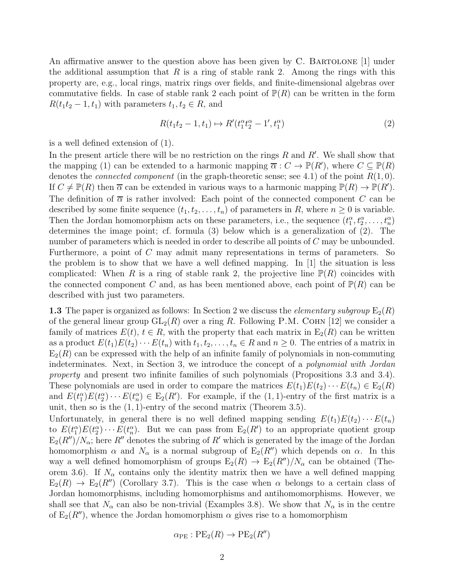An affirmative answer to the question above has been given by C. BARTOLONE [1] under the additional assumption that  $R$  is a ring of stable rank 2. Among the rings with this property are, e.g., local rings, matrix rings over fields, and finite-dimensional algebras over commutative fields. In case of stable rank 2 each point of  $\mathbb{P}(R)$  can be written in the form  $R(t_1t_2-1,t_1)$  with parameters  $t_1, t_2 \in R$ , and

$$
R(t_1t_2 - 1, t_1) \mapsto R'(t_1^{\alpha}t_2^{\alpha} - 1', t_1^{\alpha})
$$
\n(2)

is a well defined extension of (1).

In the present article there will be no restriction on the rings  $R$  and  $R'$ . We shall show that the mapping (1) can be extended to a harmonic mapping  $\overline{\alpha}: C \to \mathbb{P}(R')$ , where  $C \subseteq \mathbb{P}(R)$ denotes the *connected component* (in the graph-theoretic sense; see 4.1) of the point R(1, 0). If  $C \neq \mathbb{P}(R)$  then  $\overline{\alpha}$  can be extended in various ways to a harmonic mapping  $\mathbb{P}(R) \to \mathbb{P}(R')$ . The definition of  $\overline{\alpha}$  is rather involved: Each point of the connected component C can be described by some finite sequence  $(t_1, t_2, \ldots, t_n)$  of parameters in R, where  $n \geq 0$  is variable. Then the Jordan homomorphism acts on these parameters, i.e., the sequence  $(t_1^{\alpha}, t_2^{\alpha}, \ldots, t_n^{\alpha})$ determines the image point; cf. formula (3) below which is a generalization of (2). The number of parameters which is needed in order to describe all points of C may be unbounded. Furthermore, a point of C may admit many representations in terms of parameters. So the problem is to show that we have a well defined mapping. In  $[1]$  the situation is less complicated: When R is a ring of stable rank 2, the projective line  $\mathbb{P}(R)$  coincides with the connected component C and, as has been mentioned above, each point of  $\mathbb{P}(R)$  can be described with just two parameters.

**1.3** The paper is organized as follows: In Section 2 we discuss the *elementary subgroup*  $E_2(R)$ of the general linear group  $GL_2(R)$  over a ring R. Following P.M. COHN [12] we consider a family of matrices  $E(t)$ ,  $t \in R$ , with the property that each matrix in  $E_2(R)$  can be written as a product  $E(t_1)E(t_2)\cdots E(t_n)$  with  $t_1, t_2, \ldots, t_n \in R$  and  $n \geq 0$ . The entries of a matrix in  $E_2(R)$  can be expressed with the help of an infinite family of polynomials in non-commuting indeterminates. Next, in Section 3, we introduce the concept of a *polynomial with Jordan property* and present two infinite families of such polynomials (Propositions 3.3 and 3.4). These polynomials are used in order to compare the matrices  $E(t_1)E(t_2)\cdots E(t_n) \in E_2(R)$ and  $E(t_1^{\alpha})E(t_2^{\alpha})\cdots E(t_n^{\alpha}) \in E_2(R')$ . For example, if the (1, 1)-entry of the first matrix is a unit, then so is the  $(1, 1)$ -entry of the second matrix (Theorem 3.5).

Unfortunately, in general there is no well defined mapping sending  $E(t_1)E(t_2)\cdots E(t_n)$ to  $E(t_1^{\alpha})E(t_2^{\alpha})\cdots E(t_n^{\alpha})$ . But we can pass from  $E_2(R')$  to an appropriate quotient group  $E_2(R'')/N_{\alpha}$ ; here R'' denotes the subring of R' which is generated by the image of the Jordan homomorphism  $\alpha$  and  $N_{\alpha}$  is a normal subgroup of  $E_2(R'')$  which depends on  $\alpha$ . In this way a well defined homomorphism of groups  $E_2(R) \to E_2(R'')/N_\alpha$  can be obtained (Theorem 3.6). If  $N_{\alpha}$  contains only the identity matrix then we have a well defined mapping  $E_2(R) \rightarrow E_2(R'')$  (Corollary 3.7). This is the case when  $\alpha$  belongs to a certain class of Jordan homomorphisms, including homomorphisms and antihomomorphisms. However, we shall see that  $N_{\alpha}$  can also be non-trivial (Examples 3.8). We show that  $N_{\alpha}$  is in the centre of  $E_2(R'')$ , whence the Jordan homomorphism  $\alpha$  gives rise to a homomorphism

$$
\alpha_{\rm PE}:PE_2(R)\to PE_2(R'')
$$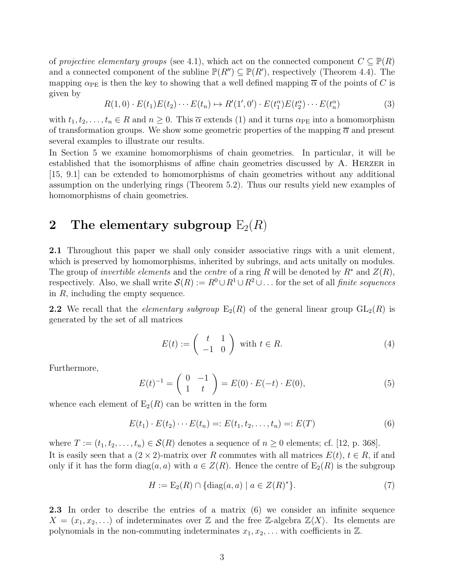of *projective elementary groups* (see 4.1), which act on the connected component  $C \subseteq \mathbb{P}(R)$ and a connected component of the subline  $\mathbb{P}(R'') \subseteq \mathbb{P}(R')$ , respectively (Theorem 4.4). The mapping  $\alpha_{PE}$  is then the key to showing that a well defined mapping  $\overline{\alpha}$  of the points of C is given by

$$
R(1,0) \cdot E(t_1)E(t_2)\cdots E(t_n) \mapsto R'(1',0') \cdot E(t_1^{\alpha})E(t_2^{\alpha})\cdots E(t_n^{\alpha})
$$
\n(3)

with  $t_1, t_2, \ldots, t_n \in R$  and  $n \geq 0$ . This  $\overline{\alpha}$  extends (1) and it turns  $\alpha_{PE}$  into a homomorphism of transformation groups. We show some geometric properties of the mapping  $\overline{\alpha}$  and present several examples to illustrate our results.

In Section 5 we examine homomorphisms of chain geometries. In particular, it will be established that the isomorphisms of affine chain geometries discussed by A. HERZER in [15, 9.1] can be extended to homomorphisms of chain geometries without any additional assumption on the underlying rings (Theorem 5.2). Thus our results yield new examples of homomorphisms of chain geometries.

# 2 The elementary subgroup  $E_2(R)$

2.1 Throughout this paper we shall only consider associative rings with a unit element, which is preserved by homomorphisms, inherited by subrings, and acts unitally on modules. The group of *invertible elements* and the *centre* of a ring R will be denoted by  $R^*$  and  $Z(R)$ , respectively. Also, we shall write  $\mathcal{S}(R) := R^0 \cup R^1 \cup R^2 \cup \dots$  for the set of all *finite sequences* in  $R$ , including the empty sequence.

**2.2** We recall that the *elementary subgroup*  $E_2(R)$  of the general linear group  $GL_2(R)$  is generated by the set of all matrices

$$
E(t) := \begin{pmatrix} t & 1 \\ -1 & 0 \end{pmatrix} \text{ with } t \in R. \tag{4}
$$

Furthermore,

$$
E(t)^{-1} = \begin{pmatrix} 0 & -1 \\ 1 & t \end{pmatrix} = E(0) \cdot E(-t) \cdot E(0), \tag{5}
$$

whence each element of  $E_2(R)$  can be written in the form

$$
E(t_1) \cdot E(t_2) \cdots E(t_n) =: E(t_1, t_2, \dots, t_n) =: E(T)
$$
\n(6)

where  $T := (t_1, t_2, \ldots, t_n) \in \mathcal{S}(R)$  denotes a sequence of  $n \geq 0$  elements; cf. [12, p. 368]. It is easily seen that a  $(2 \times 2)$ -matrix over R commutes with all matrices  $E(t)$ ,  $t \in R$ , if and only if it has the form  $diag(a, a)$  with  $a \in Z(R)$ . Hence the centre of  $E_2(R)$  is the subgroup

$$
H := \mathcal{E}_2(R) \cap \{ \text{diag}(a, a) \mid a \in Z(R)^* \}. \tag{7}
$$

2.3 In order to describe the entries of a matrix (6) we consider an infinite sequence  $X = (x_1, x_2, \ldots)$  of indeterminates over Z and the free Z-algebra  $\mathbb{Z}\langle X \rangle$ . Its elements are polynomials in the non-commuting indeterminates  $x_1, x_2, \ldots$  with coefficients in  $\mathbb{Z}$ .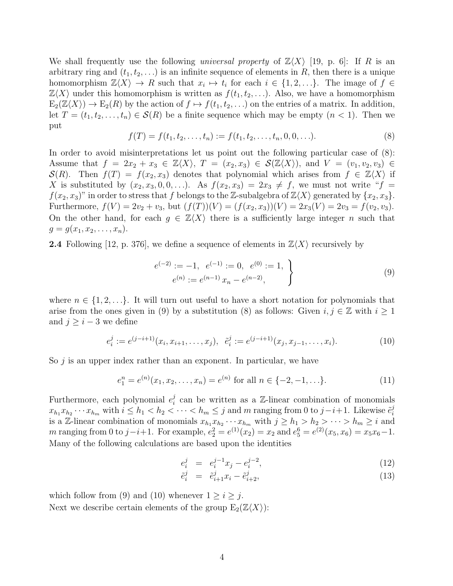We shall frequently use the following *universal property* of  $\mathbb{Z}\langle X \rangle$  [19, p. 6]: If R is an arbitrary ring and  $(t_1, t_2, \ldots)$  is an infinite sequence of elements in R, then there is a unique homomorphism  $\mathbb{Z}\langle X\rangle \to R$  such that  $x_i \mapsto t_i$  for each  $i \in \{1, 2, \ldots\}$ . The image of  $f \in$  $\mathbb{Z}\langle X\rangle$  under this homomorphism is written as  $f(t_1, t_2, \ldots)$ . Also, we have a homomorphism  $E_2(\mathbb{Z}\langle X\rangle) \to E_2(R)$  by the action of  $f \mapsto f(t_1, t_2, \ldots)$  on the entries of a matrix. In addition, let  $T = (t_1, t_2, \ldots, t_n) \in \mathcal{S}(R)$  be a finite sequence which may be empty  $(n < 1)$ . Then we put

$$
f(T) = f(t_1, t_2, \dots, t_n) := f(t_1, t_2, \dots, t_n, 0, 0, \dots).
$$
\n(8)

In order to avoid misinterpretations let us point out the following particular case of (8): Assume that  $f = 2x_2 + x_3 \in \mathbb{Z}\langle X \rangle$ ,  $T = (x_2, x_3) \in \mathcal{S}(\mathbb{Z}\langle X \rangle)$ , and  $V = (v_1, v_2, v_3) \in$  $\mathcal{S}(R)$ . Then  $f(T) = f(x_2, x_3)$  denotes that polynomial which arises from  $f \in \mathbb{Z}\langle X \rangle$  if X is substituted by  $(x_2, x_3, 0, 0, \ldots)$ . As  $f(x_2, x_3) = 2x_3 \neq f$ , we must not write " $f =$  $f(x_2, x_3)$ " in order to stress that f belongs to the Z-subalgebra of  $\mathbb{Z}\langle X\rangle$  generated by  $\{x_2, x_3\}$ . Furthermore,  $f(V) = 2v_2 + v_3$ , but  $(f(T))(V) = (f(x_2, x_3))(V) = 2x_3(V) = 2v_3 = f(v_2, v_3)$ . On the other hand, for each  $g \in \mathbb{Z}\langle X \rangle$  there is a sufficiently large integer n such that  $g = g(x_1, x_2, \ldots, x_n).$ 

**2.4** Following [12, p. 376], we define a sequence of elements in  $\mathbb{Z}\langle X\rangle$  recursively by

$$
e^{(-2)} := -1, \quad e^{(-1)} := 0, \quad e^{(0)} := 1, \quad \}
$$
  
\n
$$
e^{(n)} := e^{(n-1)} x_n - e^{(n-2)}, \quad \}
$$
\n(9)

where  $n \in \{1, 2, \ldots\}$ . It will turn out useful to have a short notation for polynomials that arise from the ones given in (9) by a substitution (8) as follows: Given  $i, j \in \mathbb{Z}$  with  $i \geq 1$ and  $j \geq i-3$  we define

$$
e_i^j := e^{(j-i+1)}(x_i, x_{i+1}, \dots, x_j), \quad \tilde{e}_i^j := e^{(j-i+1)}(x_j, x_{j-1}, \dots, x_i). \tag{10}
$$

So  $j$  is an upper index rather than an exponent. In particular, we have

$$
e_1^n = e^{(n)}(x_1, x_2, \dots, x_n) = e^{(n)} \text{ for all } n \in \{-2, -1, \dots\}.
$$
 (11)

Furthermore, each polynomial  $e_i^j$  $i$  can be written as a Z-linear combination of monomials  $x_{h_1}x_{h_2}\cdots x_{h_m}$  with  $i\leq h_1 < h_2 < \cdots < h_m \leq j$  and m ranging from 0 to  $j-i+1$ . Likewise  $\tilde{e}_i^j$ i is a Z-linear combination of monomials  $x_{h_1}x_{h_2}\cdots x_{h_m}$  with  $j \ge h_1 > h_2 > \cdots > h_m \ge i$  and m ranging from 0 to  $j-i+1$ . For example,  $e_2^2 = e^{(1)}(x_2) = x_2$  and  $e_5^6 = e^{(2)}(x_5, x_6) = x_5x_6 - 1$ . Many of the following calculations are based upon the identities

$$
e_i^j = e_i^{j-1} x_j - e_i^{j-2}, \tag{12}
$$

$$
\tilde{e}_i^j = \tilde{e}_{i+1}^j x_i - \tilde{e}_{i+2}^j,\tag{13}
$$

which follow from (9) and (10) whenever  $1 \ge i \ge j$ . Next we describe certain elements of the group  $E_2(\mathbb{Z}\langle X\rangle)$ :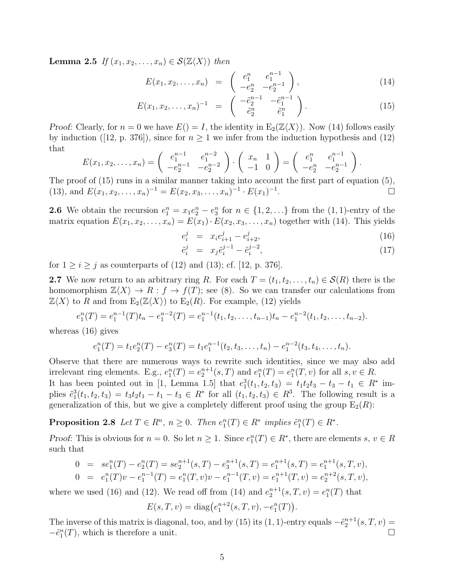**Lemma 2.5** *If*  $(x_1, x_2, \ldots, x_n) \in \mathcal{S}(\mathbb{Z}\langle X \rangle)$  *then* 

$$
E(x_1, x_2, \dots, x_n) = \begin{pmatrix} e_1^n & e_1^{n-1} \\ -e_2^n & -e_2^{n-1} \end{pmatrix}, \tag{14}
$$

$$
E(x_1, x_2, \dots, x_n)^{-1} = \begin{pmatrix} -\tilde{e}_2^{n-1} & -\tilde{e}_1^{n-1} \\ \tilde{e}_2^n & \tilde{e}_1^n \end{pmatrix}.
$$
 (15)

Proof: Clearly, for  $n = 0$  we have  $E() = I$ , the identity in  $E_2(\mathbb{Z}\langle X\rangle)$ . Now (14) follows easily by induction ([12, p. 376]), since for  $n \geq 1$  we infer from the induction hypothesis and (12) that

$$
E(x_1, x_2, \dots, x_n) = \begin{pmatrix} e_1^{n-1} & e_1^{n-2} \\ -e_2^{n-1} & -e_2^{n-2} \end{pmatrix} \cdot \begin{pmatrix} x_n & 1 \\ -1 & 0 \end{pmatrix} = \begin{pmatrix} e_1^n & e_1^{n-1} \\ -e_2^n & -e_2^{n-1} \end{pmatrix}.
$$

The proof of (15) runs in a similar manner taking into account the first part of equation (5), (13), and  $E(x_1, x_2, \ldots, x_n)^{-1} = E(x_2, x_3, \ldots, x_n)^{-1} \cdot E(x_1)^{-1}$ .

**2.6** We obtain the recursion  $e_1^n = x_1e_2^n - e_3^n$  for  $n \in \{1, 2, ...\}$  from the  $(1, 1)$ -entry of the matrix equation  $E(x_1, x_2, \ldots, x_n) = E(x_1) \cdot E(x_2, x_3, \ldots, x_n)$  together with (14). This yields

$$
e_i^j = x_i e_{i+1}^j - e_{i+2}^j, \tag{16}
$$

$$
\tilde{e}_i^j = x_j \tilde{e}_i^{j-1} - \tilde{e}_i^{j-2}, \tag{17}
$$

for  $1 \geq i \geq j$  as counterparts of (12) and (13); cf. [12, p. 376].

2.7 We now return to an arbitrary ring R. For each  $T = (t_1, t_2, \ldots, t_n) \in \mathcal{S}(R)$  there is the homomorphism  $\mathbb{Z}\langle X\rangle \to R : f \to f(T)$ ; see (8). So we can transfer our calculations from  $\mathbb{Z}\langle X\rangle$  to R and from  $E_2(\mathbb{Z}\langle X\rangle)$  to  $E_2(R)$ . For example, (12) yields

$$
e_1^n(T) = e_1^{n-1}(T)t_n - e_1^{n-2}(T) = e_1^{n-1}(t_1, t_2, \dots, t_{n-1})t_n - e_1^{n-2}(t_1, t_2, \dots, t_{n-2}).
$$

whereas (16) gives

$$
e_1^n(T) = t_1 e_2^n(T) - e_3^n(T) = t_1 e_1^{n-1}(t_2, t_3, \dots, t_n) - e_1^{n-2}(t_3, t_4, \dots, t_n).
$$

Observe that there are numerous ways to rewrite such identities, since we may also add irrelevant ring elements. E.g.,  $e_1^n(T) = e_2^{n+1}(s,T)$  and  $e_1^n(T) = e_1^n(T,v)$  for all  $s, v \in R$ . It has been pointed out in [1, Lemma 1.5] that  $e_1^3(t_1, t_2, t_3) = t_1t_2t_3 - t_3 - t_1 \in R^*$  implies  $\tilde{e}_1^3(t_1, t_2, t_3) = t_3 t_2 t_1 - t_1 - t_3 \in R^*$  for all  $(t_1, t_2, t_3) \in R^3$ . The following result is a generalization of this, but we give a completely different proof using the group  $E_2(R)$ :

**Proposition 2.8** Let  $T \in R^n$ ,  $n \ge 0$ . Then  $e_1^n(T) \in R^*$  implies  $\tilde{e}_1^n(T) \in R^*$ .

*Proof:* This is obvious for  $n = 0$ . So let  $n \ge 1$ . Since  $e_1^n(T) \in R^*$ , there are elements  $s, v \in R$ such that

$$
0 = se_1^n(T) - e_2^n(T) = se_2^{n+1}(s,T) - e_3^{n+1}(s,T) = e_1^{n+1}(s,T) = e_1^{n+1}(s,T,v),
$$
  
\n
$$
0 = e_1^n(T)v - e_1^{n-1}(T) = e_1^n(T,v)v - e_1^{n-1}(T,v) = e_1^{n+1}(T,v) = e_2^{n+2}(s,T,v),
$$

where we used (16) and (12). We read off from (14) and  $e_2^{n+1}(s,T,v) = e_1^n(T)$  that

$$
E(s,T,v) = diag(e_1^{n+2}(s,T,v), -e_1^n(T)).
$$

The inverse of this matrix is diagonal, too, and by (15) its (1, 1)-entry equals  $-\tilde{e}^{n+1}_2(s,T,v)$  =  $-\tilde{e}_1^n(T)$ , which is therefore a unit.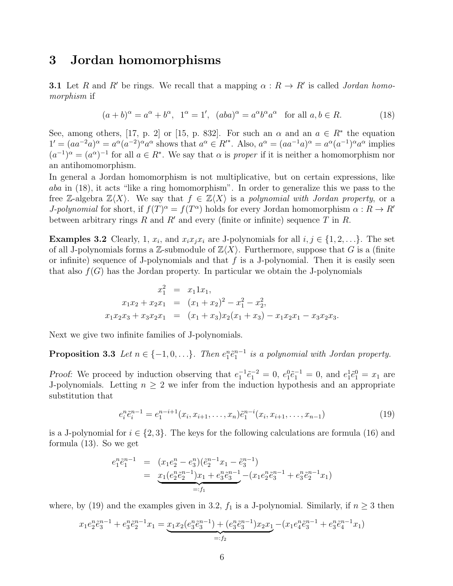### 3 Jordan homomorphisms

**3.1** Let R and R' be rings. We recall that a mapping  $\alpha : R \to R'$  is called *Jordan homomorphism* if

$$
(a+b)^{\alpha} = a^{\alpha} + b^{\alpha}, \ \ 1^{\alpha} = 1', \ \ (aba)^{\alpha} = a^{\alpha}b^{\alpha}a^{\alpha} \quad \text{for all } a, b \in R. \tag{18}
$$

See, among others, [17, p. 2] or [15, p. 832]. For such an  $\alpha$  and an  $a \in \mathbb{R}^*$  the equation  $1' = (aa^{-2}a)^{\alpha} = a^{\alpha}(a^{-2})^{\alpha}a^{\alpha}$  shows that  $a^{\alpha} \in R^{*^*}$ . Also,  $a^{\alpha} = (aa^{-1}a)^{\alpha} = a^{\alpha}(a^{-1})^{\alpha}a^{\alpha}$  implies  $(a^{-1})^{\alpha} = (a^{\alpha})^{-1}$  for all  $a \in \mathbb{R}^*$ . We say that  $\alpha$  is *proper* if it is neither a homomorphism nor an antihomomorphism.

In general a Jordan homomorphism is not multiplicative, but on certain expressions, like aba in (18), it acts "like a ring homomorphism". In order to generalize this we pass to the free Z-algebra  $\mathbb{Z}\langle X\rangle$ . We say that  $f \in \mathbb{Z}\langle X\rangle$  is a *polynomial with Jordan property*, or a *J-polynomial* for short, if  $f(T)^{\alpha} = f(T^{\alpha})$  holds for every Jordan homomorphism  $\alpha : R \to R'$ between arbitrary rings R and R' and every (finite or infinite) sequence T in R.

**Examples 3.2** Clearly, 1,  $x_i$ , and  $x_ix_jx_i$  are J-polynomials for all  $i, j \in \{1, 2, \ldots\}$ . The set of all J-polynomials forms a Z-submodule of  $\mathbb{Z}\langle X\rangle$ . Furthermore, suppose that G is a (finite or infinite) sequence of J-polynomials and that  $f$  is a J-polynomial. Then it is easily seen that also  $f(G)$  has the Jordan property. In particular we obtain the J-polynomials

$$
x_1^2 = x_1 1x_1,
$$
  
\n
$$
x_1x_2 + x_2x_1 = (x_1 + x_2)^2 - x_1^2 - x_2^2,
$$
  
\n
$$
x_1x_2x_3 + x_3x_2x_1 = (x_1 + x_3)x_2(x_1 + x_3) - x_1x_2x_1 - x_3x_2x_3.
$$

Next we give two infinite families of J-polynomials.

**Proposition 3.3** Let  $n \in \{-1, 0, \ldots\}$ . Then  $e_1^n \tilde{e}_1^{n-1}$  is a polynomial with Jordan property.

Proof: We proceed by induction observing that  $e_1^{-1} \tilde{e}_1^{-2} = 0$ ,  $e_1^0 \tilde{e}_1^{-1} = 0$ , and  $e_1^1 \tilde{e}_1^0 = x_1$  are J-polynomials. Letting  $n \geq 2$  we infer from the induction hypothesis and an appropriate substitution that

$$
e_i^n \tilde{e}_i^{n-1} = e_1^{n-i+1}(x_i, x_{i+1}, \dots, x_n) \tilde{e}_1^{n-i}(x_i, x_{i+1}, \dots, x_{n-1})
$$
\n(19)

is a J-polynomial for  $i \in \{2,3\}$ . The keys for the following calculations are formula (16) and formula (13). So we get

$$
e_1^n \tilde{e}_1^{n-1} = (x_1 e_2^n - e_3^n)(\tilde{e}_2^{n-1} x_1 - \tilde{e}_3^{n-1})
$$
  
= 
$$
\underbrace{x_1 (e_2^n \tilde{e}_2^{n-1}) x_1 + e_3^n \tilde{e}_3^{n-1}}_{=: f_1} - (x_1 e_2^n \tilde{e}_3^{n-1} + e_3^n \tilde{e}_2^{n-1} x_1)
$$

where, by (19) and the examples given in 3.2,  $f_1$  is a J-polynomial. Similarly, if  $n \geq 3$  then

$$
x_1e_2^n\tilde{e}_3^{n-1} + e_3^n\tilde{e}_2^{n-1}x_1 = \underbrace{x_1x_2(e_3^n\tilde{e}_3^{n-1}) + (e_3^n\tilde{e}_3^{n-1})x_2x_1}_{=:f_2} - (x_1e_4^n\tilde{e}_3^{n-1} + e_3^n\tilde{e}_4^{n-1}x_1)
$$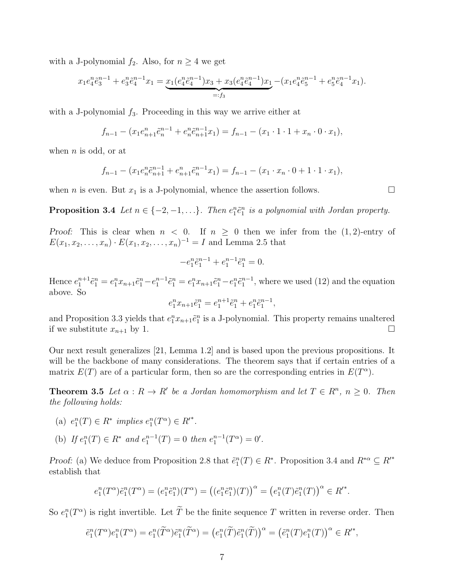with a J-polynomial  $f_2$ . Also, for  $n \geq 4$  we get

$$
x_1 e_4^n \tilde{e}_3^{n-1} + e_3^n \tilde{e}_4^{n-1} x_1 = \underbrace{x_1 (e_4^n \tilde{e}_4^{n-1}) x_3 + x_3 (e_4^n \tilde{e}_4^{n-1}) x_1}_{=: f_3} - (x_1 e_4^n \tilde{e}_5^{n-1} + e_5^n \tilde{e}_4^{n-1} x_1).
$$

with a J-polynomial  $f_3$ . Proceeding in this way we arrive either at

$$
f_{n-1} - (x_1 e_{n+1}^n \tilde{e}_n^{n-1} + e_n^n \tilde{e}_{n+1}^{n-1} x_1) = f_{n-1} - (x_1 \cdot 1 \cdot 1 + x_n \cdot 0 \cdot x_1),
$$

when  $n$  is odd, or at

$$
f_{n-1} - (x_1 e_n^n \tilde{e}_{n+1}^{n-1} + e_{n+1}^n \tilde{e}_n^{n-1} x_1) = f_{n-1} - (x_1 \cdot x_n \cdot 0 + 1 \cdot 1 \cdot x_1),
$$

when *n* is even. But  $x_1$  is a J-polynomial, whence the assertion follows.

**Proposition 3.4** Let  $n \in \{-2, -1, \ldots\}$ . Then  $e_1^n \tilde{e}_1^n$  is a polynomial with Jordan property.

Proof: This is clear when  $n < 0$ . If  $n \geq 0$  then we infer from the  $(1, 2)$ -entry of  $E(x_1, x_2, \ldots, x_n) \cdot E(x_1, x_2, \ldots, x_n)^{-1} = I$  and Lemma 2.5 that

$$
-e_1^n \tilde{e}_1^{n-1} + e_1^{n-1} \tilde{e}_1^n = 0.
$$

Hence  $e_1^{n+1}\tilde{e}_1^n = e_1^n x_{n+1}\tilde{e}_1^n - e_1^n x_{n+1}\tilde{e}_1^n - e_1^n \tilde{e}_1^{n-1}$ , where we used (12) and the equation above. So

$$
e_1^nx_{n+1}\tilde{e}_1^n=e_1^{n+1}\tilde{e}_1^n+e_1^n\tilde{e}_1^{n-1},
$$

and Proposition 3.3 yields that  $e_1^n x_{n+1} \tilde{e}_1^n$  is a J-polynomial. This property remains unaltered if we substitute  $x_{n+1}$  by 1.

Our next result generalizes [21, Lemma 1.2] and is based upon the previous propositions. It will be the backbone of many considerations. The theorem says that if certain entries of a matrix  $E(T)$  are of a particular form, then so are the corresponding entries in  $E(T^{\alpha})$ .

**Theorem 3.5** Let  $\alpha : R \to R'$  be a Jordan homomorphism and let  $T \in R^n$ ,  $n \geq 0$ . Then *the following holds:*

- (a)  $e_1^n(T) \in R^*$  implies  $e_1^n(T^{\alpha}) \in R'^*$ .
- (b) If  $e_1^n(T) \in R^*$  and  $e_1^{n-1}(T) = 0$  then  $e_1^{n-1}(T^{\alpha}) = 0'$ .

Proof: (a) We deduce from Proposition 2.8 that  $\tilde{e}_1^n(T) \in R^*$ . Proposition 3.4 and  $R^{*\alpha} \subseteq R'^*$ establish that

$$
e_1^n(T^{\alpha})\tilde{e}_1^n(T^{\alpha}) = (e_1^n \tilde{e}_1^n)(T^{\alpha}) = ((e_1^n \tilde{e}_1^n)(T))^{\alpha} = (e_1^n(T)\tilde{e}_1^n(T))^{\alpha} \in R^*.
$$

So  $e_1^n(T^\alpha)$  is right invertible. Let  $\overline{T}$  be the finite sequence  $T$  written in reverse order. Then

$$
\tilde{e}_1^n(T^{\alpha})e_1^n(T^{\alpha}) = e_1^n(\tilde{T}^{\alpha})\tilde{e}_1^n(\tilde{T}^{\alpha}) = (e_1^n(\tilde{T})\tilde{e}_1^n(\tilde{T}))^{\alpha} = (\tilde{e}_1^n(T)e_1^n(T))^{\alpha} \in R^*,
$$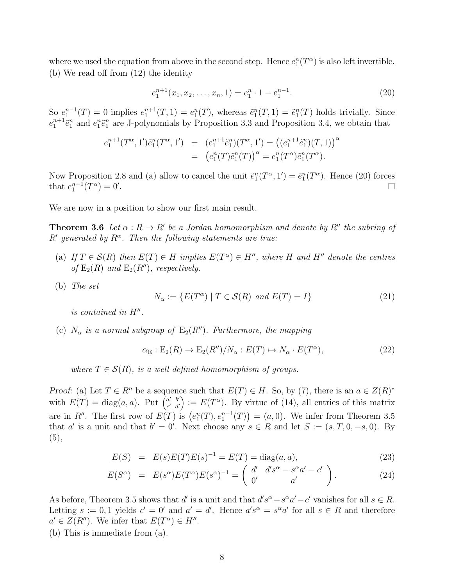where we used the equation from above in the second step. Hence  $e_1^n(T^{\alpha})$  is also left invertible. (b) We read off from (12) the identity

$$
e_1^{n+1}(x_1, x_2, \dots, x_n, 1) = e_1^n \cdot 1 - e_1^{n-1}.
$$
\n(20)

So  $e_1^{n-1}(T) = 0$  implies  $e_1^{n+1}(T, 1) = e_1^n(T)$ , whereas  $\tilde{e}_1^n(T, 1) = \tilde{e}_1^n(T)$  holds trivially. Since  $e_1^{n+1} \tilde{e}_1^n$  and  $e_1^n \tilde{e}_1^n$  are J-polynomials by Proposition 3.3 and Proposition 3.4, we obtain that

$$
e_1^{n+1}(T^{\alpha}, 1')\tilde{e}_1^n(T^{\alpha}, 1') = (e_1^{n+1}\tilde{e}_1^n)(T^{\alpha}, 1') = ((e_1^{n+1}\tilde{e}_1^n)(T, 1))^{\alpha}
$$
  
= 
$$
(e_1^n(T)\tilde{e}_1^n(T))^{\alpha} = e_1^n(T^{\alpha})\tilde{e}_1^n(T^{\alpha}).
$$

Now Proposition 2.8 and (a) allow to cancel the unit  $\tilde{e}_1^n(T^{\alpha}, 1') = \tilde{e}_1^n(T^{\alpha})$ . Hence (20) forces that  $e_1^{n-1}(T^{\alpha})=0'$ .

We are now in a position to show our first main result.

**Theorem 3.6** Let  $\alpha: R \to R'$  be a Jordan homomorphism and denote by  $R''$  the subring of  $R'$  generated by  $R^{\alpha}$ . Then the following statements are true:

- (a) If  $T \in \mathcal{S}(R)$  then  $E(T) \in H$  implies  $E(T^{\alpha}) \in H''$ , where H and H'' denote the centres *of*  $E_2(R)$  *and*  $E_2(R'')$ *, respectively.*
- (b) *The set*

$$
N_{\alpha} := \{ E(T^{\alpha}) \mid T \in \mathcal{S}(R) \text{ and } E(T) = I \}
$$
\n
$$
(21)
$$

*is contained in*  $H''$ .

(c)  $N_{\alpha}$  *is a normal subgroup of*  $E_2(R'')$ *. Furthermore, the mapping* 

$$
\alpha_{\mathcal{E}} : \mathcal{E}_2(R) \to \mathcal{E}_2(R'')/N_\alpha : E(T) \mapsto N_\alpha \cdot E(T^\alpha), \tag{22}
$$

*where*  $T \in \mathcal{S}(R)$ *, is a well defined homomorphism of groups.* 

Proof: (a) Let  $T \in \mathbb{R}^n$  be a sequence such that  $E(T) \in H$ . So, by (7), there is an  $a \in Z(\mathbb{R})^*$ with  $E(T) = \text{diag}(a, a)$ . Put  $\begin{bmatrix} a' & b' \\ c' & d' \end{bmatrix}$  $\begin{bmatrix} a' & b' \\ c' & d' \end{bmatrix} := E(T^{\alpha})$ . By virtue of (14), all entries of this matrix are in R''. The first row of  $E(T)$  is  $(e_1^n(T), e_1^{n-1}(T)) = (a, 0)$ . We infer from Theorem 3.5 that a' is a unit and that  $b' = 0'$ . Next choose any  $s \in R$  and let  $S := (s, T, 0, -s, 0)$ . By (5),

$$
E(S) = E(s)E(T)E(s)^{-1} = E(T) = diag(a, a),
$$
\n(23)

$$
E(S^{\alpha}) = E(s^{\alpha})E(T^{\alpha})E(s^{\alpha})^{-1} = \begin{pmatrix} d' & d's^{\alpha} - s^{\alpha}a' - c' \\ 0' & a' \end{pmatrix}.
$$
 (24)

As before, Theorem 3.5 shows that d' is a unit and that  $d's^{\alpha} - s^{\alpha}a' - c'$  vanishes for all  $s \in R$ . Letting  $s := 0, 1$  yields  $c' = 0'$  and  $a' = d'$ . Hence  $a's^{\alpha} = s^{\alpha} a'$  for all  $s \in R$  and therefore  $a' \in Z(R'')$ . We infer that  $E(T^{\alpha}) \in H''$ .

(b) This is immediate from (a).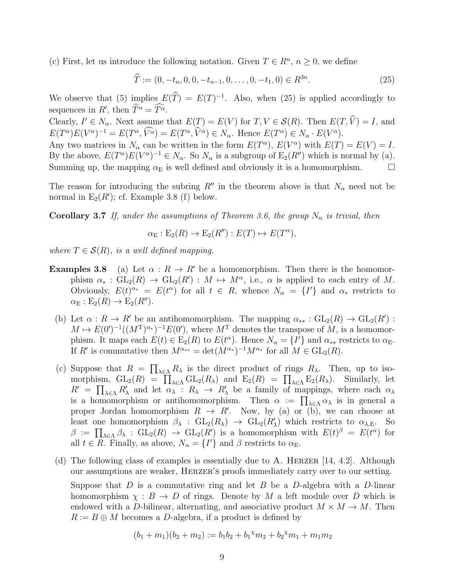(c) First, let us introduce the following notation. Given  $T \in \mathbb{R}^n$ ,  $n \geq 0$ , we define

$$
\widehat{T} := (0, -t_n, 0, 0, -t_{n-1}, 0, \dots, 0, -t_1, 0) \in R^{3n}.
$$
\n(25)

We observe that (5) implies  $E(\widehat{T}) = E(T)^{-1}$ . Also, when (25) is applied accordingly to sequences in  $R'$ , then  $\widehat{T}^{\alpha} = \widehat{T}^{\alpha}$ .

Clearly,  $I' \in N_\alpha$ . Next assume that  $E(T) = E(V)$  for  $T, V \in \mathcal{S}(R)$ . Then  $E(T, \hat{V}) = I$ , and  $E(T^{\alpha})E(V^{\alpha})^{-1} = E(T^{\alpha}, \widehat{V}^{\alpha}) = E(T^{\alpha}, \widehat{V}^{\alpha}) \in N_{\alpha}$ . Hence  $E(T^{\alpha}) \in N_{\alpha} \cdot E(V^{\alpha})$ .

Any two matrices in  $N_{\alpha}$  can be written in the form  $E(T^{\alpha})$ ,  $E(V^{\alpha})$  with  $E(T) = E(V) = I$ . By the above,  $E(T^{\alpha})E(V^{\alpha})^{-1} \in N_{\alpha}$ . So  $N_{\alpha}$  is a subgroup of  $E_2(R'')$  which is normal by (a). Summing up, the mapping  $\alpha_{\rm E}$  is well defined and obviously it is a homomorphism.  $\Box$ 

The reason for introducing the subring R'' in the theorem above is that  $N_{\alpha}$  need not be normal in  $E_2(R')$ ; cf. Example 3.8 (f) below.

Corollary 3.7 *If, under the assumptions of Theorem 3.6, the group*  $N_{\alpha}$  *is trivial, then* 

$$
\alpha_{\mathcal{E}} : \mathcal{E}_2(R) \to \mathcal{E}_2(R'') : E(T) \mapsto E(T^{\alpha}),
$$

*where*  $T \in \mathcal{S}(R)$ *, is a well defined mapping.* 

- **Examples 3.8** (a) Let  $\alpha : R \to R'$  be a homomorphism. Then there is the homomorphism  $\alpha_* : GL_2(R) \to GL_2(R') : M \mapsto M^{\alpha},$  i.e.,  $\alpha$  is applied to each entry of M. Obviously,  $E(t)^{\alpha_*} = E(t^{\alpha})$  for all  $t \in R$ , whence  $N_{\alpha} = \{I'\}$  and  $\alpha_*$  restricts to  $\alpha_{\rm E}: {\rm E}_2(R) \to {\rm E}_2(R'')$ .
	- (b) Let  $\alpha: R \to R'$  be an antihomomorphism. The mapping  $\alpha_{**}: GL_2(R) \to GL_2(R')$ :  $M \mapsto E(0')^{-1}((M^{T})^{\alpha_{*}})^{-1}E(0')$ , where  $M^{T}$  denotes the transpose of M, is a homomorphism. It maps each  $E(t) \in E_2(R)$  to  $E(t^{\alpha})$ . Hence  $N_{\alpha} = \{I'\}$  and  $\alpha_{**}$  restricts to  $\alpha_{E}$ . If R' is commutative then  $M^{\alpha_{**}} = \det(M^{\alpha_*})^{-1} M^{\alpha_*}$  for all  $M \in GL_2(R)$ .
	- (c) Suppose that  $R = \prod_{\lambda \in \Lambda} R_{\lambda}$  is the direct product of rings  $R_{\lambda}$ . Then, up to isomorphism,  $GL_2(R) = \prod_{\lambda \in \Lambda} GL_2(R_{\lambda})$  and  $E_2(R) = \prod_{\lambda \in \Lambda} E_2(R_{\lambda})$ . Similarly, let  $R' = \prod_{\lambda \in \Lambda} R'_{\lambda}$  and let  $\alpha_{\lambda} : R_{\lambda} \to R'_{\lambda}$  be a family of mappings, where each  $\alpha_{\lambda}$ is a homomorphism or antihomomorphism. Then  $\alpha := \prod_{\lambda \in \Lambda} \alpha_{\lambda}$  is in general a proper Jordan homomorphism  $R \to R'$ . Now, by (a) or (b), we can choose at least one homomorphism  $\beta_{\lambda}$  :  $GL_2(R_{\lambda}) \to GL_2(R_{\lambda}')$  which restricts to  $\alpha_{\lambda,E}$ . So  $\beta := \prod_{\lambda \in \Lambda} \beta_{\lambda} : GL_2(R) \to GL_2(R')$  is a homomorphism with  $E(t)^{\beta} = E(t^{\alpha})$  for all  $t \in R$ . Finally, as above,  $N_{\alpha} = \{I'\}$  and  $\beta$  restricts to  $\alpha_{\rm E}$ .
	- (d) The following class of examples is essentially due to A. HERZER [14, 4.2]. Although our assumptions are weaker, Herzer's proofs immediately carry over to our setting. Suppose that D is a commutative ring and let B be a D-algebra with a D-linear homomorphism  $\chi : B \to D$  of rings. Denote by M a left module over D which is endowed with a D-bilinear, alternating, and associative product  $M \times M \rightarrow M$ . Then  $R := B \oplus M$  becomes a D-algebra, if a product is defined by

$$
(b_1 + m_1)(b_2 + m_2) := b_1b_2 + b_1^{\chi}m_2 + b_2^{\chi}m_1 + m_1m_2
$$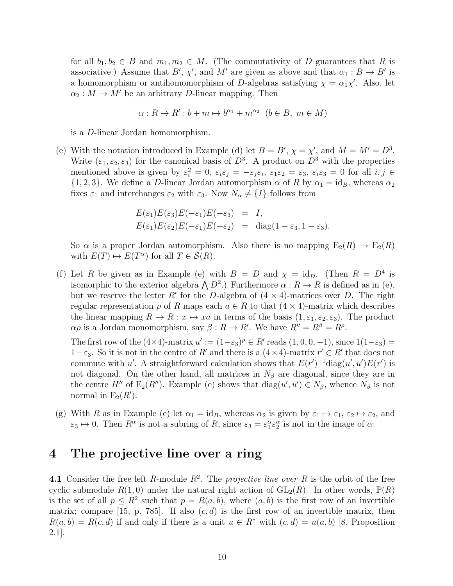for all  $b_1, b_2 \in B$  and  $m_1, m_2 \in M$ . (The commutativity of D guarantees that R is associative.) Assume that  $B'$ ,  $\chi'$ , and  $M'$  are given as above and that  $\alpha_1 : B \to B'$  is a homomorphism or antihomomorphism of D-algebras satisfying  $\chi = \alpha_1 \chi'$ . Also, let  $\alpha_2 : M \to M'$  be an arbitrary D-linear mapping. Then

$$
\alpha: R \to R': b+m \mapsto b^{\alpha_1} + m^{\alpha_2} \ (b \in B, \ m \in M)
$$

is a D-linear Jordan homomorphism.

(e) With the notation introduced in Example (d) let  $B = B'$ ,  $\chi = \chi'$ , and  $M = M' = D^3$ . Write  $(\varepsilon_1, \varepsilon_2, \varepsilon_3)$  for the canonical basis of  $D^3$ . A product on  $D^3$  with the properties mentioned above is given by  $\varepsilon_i^2 = 0$ ,  $\varepsilon_i \varepsilon_j = -\varepsilon_j \varepsilon_i$ ,  $\varepsilon_1 \varepsilon_2 = \varepsilon_3$ ,  $\varepsilon_i \varepsilon_3 = 0$  for all  $i, j \in$  $\{1, 2, 3\}$ . We define a D-linear Jordan automorphism  $\alpha$  of R by  $\alpha_1 = id_B$ , whereas  $\alpha_2$ fixes  $\varepsilon_1$  and interchanges  $\varepsilon_2$  with  $\varepsilon_3$ . Now  $N_\alpha \neq \{I\}$  follows from

$$
E(\varepsilon_1)E(\varepsilon_3)E(-\varepsilon_1)E(-\varepsilon_3) = I,
$$
  
\n
$$
E(\varepsilon_1)E(\varepsilon_2)E(-\varepsilon_1)E(-\varepsilon_2) = \text{diag}(1-\varepsilon_3, 1-\varepsilon_3).
$$

So  $\alpha$  is a proper Jordan automorphism. Also there is no mapping  $E_2(R) \to E_2(R)$ with  $E(T) \mapsto E(T^{\alpha})$  for all  $T \in \mathcal{S}(R)$ .

(f) Let R be given as in Example (e) with  $B = D$  and  $\chi = id_D$ . (Then  $R = D<sup>4</sup>$  is isomorphic to the exterior algebra  $\bigwedge D^2$ .) Furthermore  $\alpha: R \to R$  is defined as in (e), but we reserve the letter R' for the D-algebra of  $(4 \times 4)$ -matrices over D. The right regular representation  $\rho$  of R maps each  $a \in R$  to that  $(4 \times 4)$ -matrix which describes the linear mapping  $R \to R : x \mapsto xa$  in terms of the basis  $(1, \varepsilon_1, \varepsilon_2, \varepsilon_3)$ . The product  $\alpha \rho$  is a Jordan monomorphism, say  $\beta: R \to R'$ . We have  $R'' = R^{\beta} = R^{\rho}$ .

The first row of the  $(4\times4)$ -matrix  $u' := (1-\varepsilon_3)^{\rho} \in R'$  reads  $(1,0,0,-1)$ , since  $1(1-\varepsilon_3)$  =  $1-\varepsilon_3$ . So it is not in the centre of R' and there is a  $(4 \times 4)$ -matrix  $r' \in R'$  that does not commute with u'. A straightforward calculation shows that  $E(r')^{-1}$ diag $(u', u')E(r')$  is not diagonal. On the other hand, all matrices in  $N<sub>\beta</sub>$  are diagonal, since they are in the centre  $H''$  of  $E_2(R'')$ . Example (e) shows that  $diag(u', u') \in N_\beta$ , whence  $N_\beta$  is not normal in  $E_2(R')$ .

(g) With R as in Example (e) let  $\alpha_1 = id_B$ , whereas  $\alpha_2$  is given by  $\varepsilon_1 \mapsto \varepsilon_1$ ,  $\varepsilon_2 \mapsto \varepsilon_2$ , and  $\varepsilon_3 \mapsto 0$ . Then  $R^{\alpha}$  is not a subring of R, since  $\varepsilon_3 = \varepsilon_1^{\alpha} \varepsilon_2^{\alpha}$  is not in the image of  $\alpha$ .

#### 4 The projective line over a ring

**4.1** Consider the free left  $R$ -module  $R^2$ . The *projective line over*  $R$  is the orbit of the free cyclic submodule  $R(1,0)$  under the natural right action of  $GL_2(R)$ . In other words,  $\mathbb{P}(R)$ is the set of all  $p \leq R^2$  such that  $p = R(a, b)$ , where  $(a, b)$  is the first row of an invertible matrix; compare [15, p. 785]. If also  $(c, d)$  is the first row of an invertible matrix, then  $R(a, b) = R(c, d)$  if and only if there is a unit  $u \in R^*$  with  $(c, d) = u(a, b)$  [8, Proposition 2.1].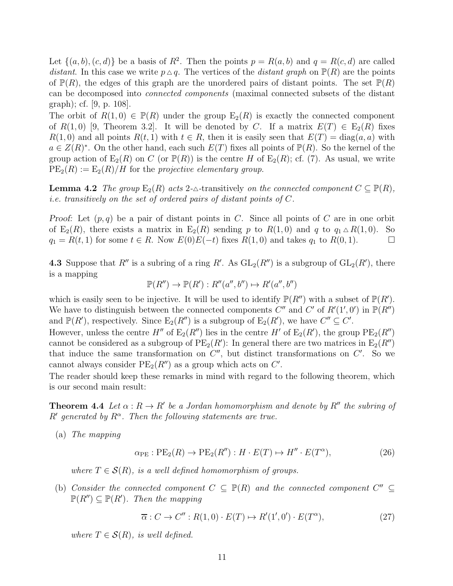Let  $\{(a, b), (c, d)\}\$ be a basis of  $R^2$ . Then the points  $p = R(a, b)$  and  $q = R(c, d)$  are called *distant*. In this case we write  $p \triangle q$ . The vertices of the *distant graph* on  $\mathbb{P}(R)$  are the points of  $\mathbb{P}(R)$ , the edges of this graph are the unordered pairs of distant points. The set  $\mathbb{P}(R)$ can be decomposed into *connected components* (maximal connected subsets of the distant graph); cf. [9, p. 108].

The orbit of  $R(1,0) \in \mathbb{P}(R)$  under the group  $E_2(R)$  is exactly the connected component of  $R(1,0)$  [9, Theorem 3.2]. It will be denoted by C. If a matrix  $E(T) \in E_2(R)$  fixes  $R(1,0)$  and all points  $R(t, 1)$  with  $t \in R$ , then it is easily seen that  $E(T) = \text{diag}(a, a)$  with  $a \in Z(R)^*$ . On the other hand, each such  $E(T)$  fixes all points of  $\mathbb{P}(R)$ . So the kernel of the group action of  $E_2(R)$  on C (or  $\mathbb{P}(R)$ ) is the centre H of  $E_2(R)$ ; cf. (7). As usual, we write  $PE_2(R) := E_2(R)/H$  for the *projective elementary group*.

**Lemma 4.2** *The group*  $E_2(R)$  *acts* 2- $\triangle$ -transitively *on the connected component*  $C \subseteq \mathbb{P}(R)$ *, i.e. transitively on the set of ordered pairs of distant points of* C*.*

Proof: Let  $(p, q)$  be a pair of distant points in C. Since all points of C are in one orbit of  $E_2(R)$ , there exists a matrix in  $E_2(R)$  sending p to  $R(1,0)$  and q to  $q_1 \triangle R(1,0)$ . So  $q_1 = R(t, 1)$  for some  $t \in R$ . Now  $E(0)E(-t)$  fixes  $R(1, 0)$  and takes  $q_1$  to  $R(0, 1)$ .

**4.3** Suppose that  $R''$  is a subring of a ring  $R'$ . As  $GL_2(R'')$  is a subgroup of  $GL_2(R')$ , there is a mapping

$$
\mathbb{P}(R'') \to \mathbb{P}(R') : R''(a'', b'') \mapsto R'(a'', b'')
$$

which is easily seen to be injective. It will be used to identify  $\mathbb{P}(R'')$  with a subset of  $\mathbb{P}(R')$ . We have to distinguish between the connected components  $C''$  and  $C'$  of  $R'(1',0')$  in  $\mathbb{P}(R'')$ and  $\mathbb{P}(R')$ , respectively. Since  $E_2(R'')$  is a subgroup of  $E_2(R')$ , we have  $C'' \subseteq C'$ .

However, unless the centre  $H''$  of  $E_2(R'')$  lies in the centre  $H'$  of  $E_2(R')$ , the group  $PE_2(R'')$ cannot be considered as a subgroup of  $PE_2(R')$ : In general there are two matrices in  $E_2(R'')$ that induce the same transformation on  $C''$ , but distinct transformations on  $C'$ . So we cannot always consider  $PE<sub>2</sub>(R'')$  as a group which acts on  $C'$ .

The reader should keep these remarks in mind with regard to the following theorem, which is our second main result:

**Theorem 4.4** Let  $\alpha: R \to R'$  be a Jordan homomorphism and denote by  $R''$  the subring of  $R'$  generated by  $R^{\alpha}$ . Then the following statements are true.

(a) *The mapping*

$$
\alpha_{\rm PE}: \text{PE}_2(R) \to \text{PE}_2(R''): H \cdot E(T) \mapsto H'' \cdot E(T^{\alpha}), \tag{26}
$$

*where*  $T \in \mathcal{S}(R)$ *, is a well defined homomorphism of groups.* 

(b) *Consider the connected component*  $C \subseteq \mathbb{P}(R)$  *and the connected component*  $C'' \subseteq$  $\mathbb{P}(R'') \subseteq \mathbb{P}(R')$ . Then the mapping

$$
\overline{\alpha}: C \to C'' : R(1,0) \cdot E(T) \mapsto R'(1',0') \cdot E(T^{\alpha}), \tag{27}
$$

*where*  $T \in \mathcal{S}(R)$ *, is well defined.*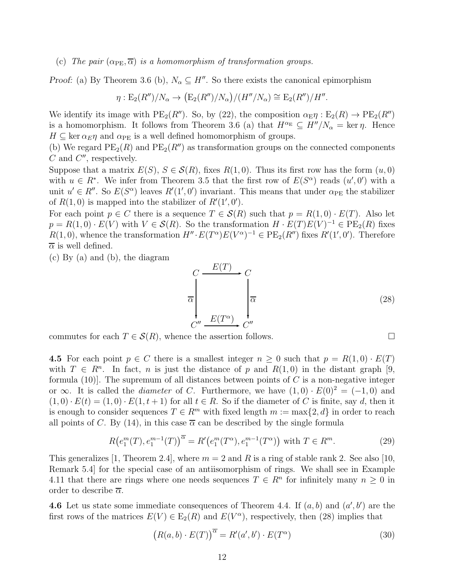(c) *The pair*  $(\alpha_{PE}, \overline{\alpha})$  *is a homomorphism of transformation groups.* 

Proof: (a) By Theorem 3.6 (b),  $N_{\alpha} \subseteq H''$ . So there exists the canonical epimorphism

$$
\eta: \mathcal{E}_2(R'')/N_\alpha \to \big(\mathcal{E}_2(R'')/N_\alpha\big)/(H''/N_\alpha) \cong \mathcal{E}_2(R'')/H''.
$$

We identify its image with  $PE_2(R'')$ . So, by (22), the composition  $\alpha_{\rm E} \eta : E_2(R) \to PE_2(R'')$ is a homomorphism. It follows from Theorem 3.6 (a) that  $H^{\alpha_E} \subseteq H''/N_{\alpha} = \ker \eta$ . Hence  $H \subseteq \text{ker }\alpha_E \eta$  and  $\alpha_{PE}$  is a well defined homomorphism of groups.

(b) We regard  $PE<sub>2</sub>(R)$  and  $PE<sub>2</sub>(R'')$  as transformation groups on the connected components  $C$  and  $C''$ , respectively.

Suppose that a matrix  $E(S)$ ,  $S \in \mathcal{S}(R)$ , fixes  $R(1,0)$ . Thus its first row has the form  $(u,0)$ with  $u \in R^*$ . We infer from Theorem 3.5 that the first row of  $E(S^{\alpha})$  reads  $(u', 0')$  with a unit  $u' \in R''$ . So  $E(S^{\alpha})$  leaves  $R'(1', 0')$  invariant. This means that under  $\alpha_{PE}$  the stabilizer of  $R(1,0)$  is mapped into the stabilizer of  $R'(1',0')$ .

For each point  $p \in C$  there is a sequence  $T \in \mathcal{S}(R)$  such that  $p = R(1,0) \cdot E(T)$ . Also let  $p = R(1,0) \cdot E(V)$  with  $V \in \mathcal{S}(R)$ . So the transformation  $H \cdot E(T)E(V)^{-1} \in \text{PE}_2(R)$  fixes  $R(1,0)$ , whence the transformation  $H'' \cdot E(T^{\alpha})E(V^{\alpha})^{-1} \in PE_2(R'')$  fixes  $R'(1',0')$ . Therefore  $\overline{\alpha}$  is well defined.

(c) By (a) and (b), the diagram

$$
C \xrightarrow{E(T)} C
$$
\n
$$
\overline{\alpha} \qquad \qquad \overline{\alpha} \qquad \qquad \overline{\alpha} \qquad \qquad (28)
$$
\n
$$
C'' \xrightarrow{E(T^{\alpha})} C''
$$

commutes for each  $T \in \mathcal{S}(R)$ , whence the assertion follows.

4.5 For each point  $p \in C$  there is a smallest integer  $n \geq 0$  such that  $p = R(1,0) \cdot E(T)$ with  $T \in R^n$ . In fact, *n* is just the distance of *p* and  $R(1,0)$  in the distant graph [9, formula (10). The supremum of all distances between points of  $C$  is a non-negative integer or ∞. It is called the *diameter* of C. Furthermore, we have  $(1,0) \cdot E(0)^2 = (-1,0)$  and  $(1,0) \cdot E(t) = (1,0) \cdot E(1,t+1)$  for all  $t \in R$ . So if the diameter of C is finite, say d, then it is enough to consider sequences  $T \in \mathbb{R}^m$  with fixed length  $m := \max\{2, d\}$  in order to reach all points of C. By (14), in this case  $\overline{\alpha}$  can be described by the single formula

$$
R(e_1^m(T), e_1^{m-1}(T))^{\overline{\alpha}} = R'(e_1^m(T^{\alpha}), e_1^{m-1}(T^{\alpha})) \text{ with } T \in R^m. \tag{29}
$$

This generalizes [1, Theorem 2.4], where  $m = 2$  and R is a ring of stable rank 2. See also [10, Remark 5.4] for the special case of an antiisomorphism of rings. We shall see in Example 4.11 that there are rings where one needs sequences  $T \in \mathbb{R}^n$  for infinitely many  $n \geq 0$  in order to describe  $\overline{\alpha}$ .

**4.6** Let us state some immediate consequences of Theorem 4.4. If  $(a, b)$  and  $(a', b')$  are the first rows of the matrices  $E(V) \in E_2(R)$  and  $E(V^{\alpha})$ , respectively, then (28) implies that

$$
(R(a,b) \cdot E(T))^{\overline{\alpha}} = R'(a',b') \cdot E(T^{\alpha})
$$
\n(30)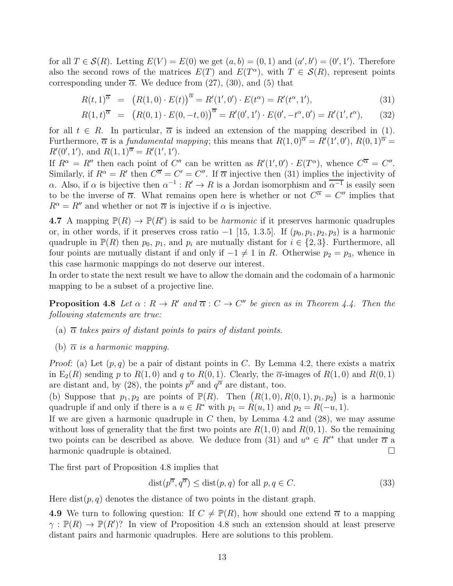for all  $T \in \mathcal{S}(R)$ . Letting  $E(V) = E(0)$  we get  $(a, b) = (0, 1)$  and  $(a', b') = (0', 1')$ . Therefore also the second rows of the matrices  $E(T)$  and  $E(T^{\alpha})$ , with  $T \in \mathcal{S}(R)$ , represent points corresponding under  $\overline{\alpha}$ . We deduce from (27), (30), and (5) that

$$
R(t,1)^{\overline{\alpha}} = (R(1,0) \cdot E(t))^{\overline{\alpha}} = R'(1',0') \cdot E(t^{\alpha}) = R'(t^{\alpha},1'),
$$
\n(31)

$$
R(1,t)^{\overline{\alpha}} = (R(0,1) \cdot E(0,-t,0))^{\overline{\alpha}} = R'(0',1') \cdot E(0',-t^{\alpha},0') = R'(1',t^{\alpha}), \quad (32)
$$

for all  $t \in R$ . In particular,  $\overline{\alpha}$  is indeed an extension of the mapping described in (1). Furthermore,  $\overline{\alpha}$  is a *fundamental mapping*; this means that  $R(1,0)^{\overline{\alpha}} = R'(1',0'), R(0,1)^{\overline{\alpha}} =$  $R'(0', 1'),$  and  $R(1, 1)^{\overline{\alpha}} = R'(1', 1').$ 

If  $R^{\alpha} = R''$  then each point of C'' can be written as  $R'(1', 0') \cdot E(T^{\alpha})$ , whence  $C^{\overline{\alpha}} = C''$ . Similarly, if  $R^{\alpha} = R'$  then  $C^{\overline{\alpha}} = C' = C''$ . If  $\overline{\alpha}$  injective then (31) implies the injectivity of α. Also, if α is bijective then  $\alpha^{-1}: R' \to R$  is a Jordan isomorphism and  $\overline{\alpha^{-1}}$  is easily seen to be the inverse of  $\overline{\alpha}$ . What remains open here is whether or not  $C^{\overline{\alpha}} = C''$  implies that  $R^{\alpha} = R''$  and whether or not  $\overline{\alpha}$  is injective if  $\alpha$  is injective.

**4.7** A mapping  $\mathbb{P}(R) \to \mathbb{P}(R')$  is said to be *harmonic* if it preserves harmonic quadruples or, in other words, if it preserves cross ratio  $-1$  [15, 1.3.5]. If  $(p_0, p_1, p_2, p_3)$  is a harmonic quadruple in  $\mathbb{P}(R)$  then  $p_0, p_1$ , and  $p_i$  are mutually distant for  $i \in \{2, 3\}$ . Furthermore, all four points are mutually distant if and only if  $-1 \neq 1$  in R. Otherwise  $p_2 = p_3$ , whence in this case harmonic mappings do not deserve our interest.

In order to state the next result we have to allow the domain and the codomain of a harmonic mapping to be a subset of a projective line.

**Proposition 4.8** Let  $\alpha : R \to R'$  and  $\overline{\alpha} : C \to C''$  be given as in Theorem 4.4. Then the *following statements are true:*

- (a)  $\overline{\alpha}$  *takes pairs of distant points to pairs of distant points.*
- (b)  $\overline{\alpha}$  *is a harmonic mapping.*

Proof: (a) Let  $(p, q)$  be a pair of distant points in C. By Lemma 4.2, there exists a matrix in  $E_2(R)$  sending p to  $R(1,0)$  and q to  $R(0,1)$ . Clearly, the  $\overline{\alpha}$ -images of  $R(1,0)$  and  $R(0,1)$ are distant and, by (28), the points  $p^{\overline{\alpha}}$  and  $q^{\overline{\alpha}}$  are distant, too.

(b) Suppose that  $p_1, p_2$  are points of  $\mathbb{P}(R)$ . Then  $(R(1, 0), R(0, 1), p_1, p_2)$  is a harmonic quadruple if and only if there is a  $u \in R^*$  with  $p_1 = R(u, 1)$  and  $p_2 = R(-u, 1)$ .

If we are given a harmonic quadruple in  $C$  then, by Lemma 4.2 and  $(28)$ , we may assume without loss of generality that the first two points are  $R(1,0)$  and  $R(0,1)$ . So the remaining two points can be described as above. We deduce from (31) and  $u^{\alpha} \in R'^*$  that under  $\overline{\alpha}$  a harmonic quadruple is obtained.

The first part of Proposition 4.8 implies that

$$
dist(p^{\overline{\alpha}}, q^{\overline{\alpha}}) \leq dist(p, q) \text{ for all } p, q \in C.
$$
 (33)

Here dist $(p, q)$  denotes the distance of two points in the distant graph.

4.9 We turn to following question: If  $C \neq \mathbb{P}(R)$ , how should one extend  $\overline{\alpha}$  to a mapping  $\gamma : \mathbb{P}(R) \to \mathbb{P}(R')$ ? In view of Proposition 4.8 such an extension should at least preserve distant pairs and harmonic quadruples. Here are solutions to this problem.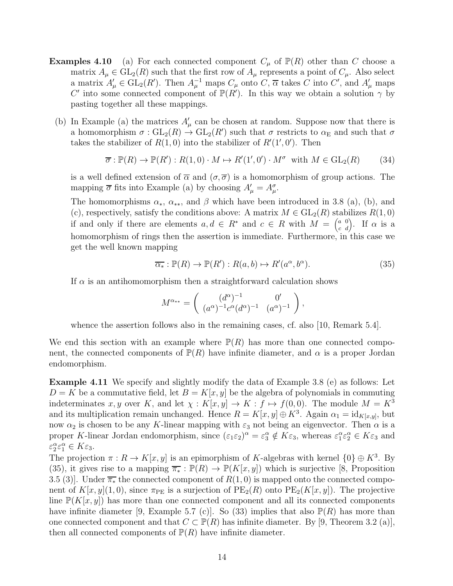- **Examples 4.10** (a) For each connected component  $C_{\mu}$  of  $\mathbb{P}(R)$  other than C choose a matrix  $A_\mu \in GL_2(R)$  such that the first row of  $A_\mu$  represents a point of  $C_\mu$ . Also select a matrix  $A'_{\mu} \in GL_2(R')$ . Then  $A_{\mu}^{-1}$  maps  $C_{\mu}$  onto  $C, \overline{\alpha}$  takes C into  $C'$ , and  $A'_{\mu}$  maps C' into some connected component of  $\mathbb{P}(R')$ . In this way we obtain a solution  $\gamma$  by pasting together all these mappings.
	- (b) In Example (a) the matrices  $A'_{\mu}$  can be chosen at random. Suppose now that there is a homomorphism  $\sigma$ :  $GL_2(R) \to GL_2(R')$  such that  $\sigma$  restricts to  $\alpha_E$  and such that  $\sigma$ takes the stabilizer of  $R(1,0)$  into the stabilizer of  $R'(1',0')$ . Then

$$
\overline{\sigma}: \mathbb{P}(R) \to \mathbb{P}(R'): R(1,0) \cdot M \mapsto R'(1',0') \cdot M^{\sigma} \text{ with } M \in \text{GL}_2(R) \tag{34}
$$

is a well defined extension of  $\overline{\alpha}$  and  $(\sigma, \overline{\sigma})$  is a homomorphism of group actions. The mapping  $\overline{\sigma}$  fits into Example (a) by choosing  $A'_{\mu} = A^{\sigma}_{\mu}$ .

The homomorphisms  $\alpha_*, \alpha_{**}$ , and  $\beta$  which have been introduced in 3.8 (a), (b), and (c), respectively, satisfy the conditions above: A matrix  $M \in GL_2(R)$  stabilizes  $R(1,0)$ if and only if there are elements  $a, d \in R^*$  and  $c \in R$  with  $M = \begin{pmatrix} a & 0 \\ c & d \end{pmatrix}$ . If  $\alpha$  is a homomorphism of rings then the assertion is immediate. Furthermore, in this case we get the well known mapping

$$
\overline{\alpha_*} : \mathbb{P}(R) \to \mathbb{P}(R') : R(a, b) \mapsto R'(a^{\alpha}, b^{\alpha}). \tag{35}
$$

If  $\alpha$  is an antihomomorphism then a straightforward calculation shows

$$
M^{\alpha_{**}} = \begin{pmatrix} (d^{\alpha})^{-1} & 0' \\ (a^{\alpha})^{-1}c^{\alpha}(d^{\alpha})^{-1} & (a^{\alpha})^{-1} \end{pmatrix},
$$

whence the assertion follows also in the remaining cases, cf. also [10, Remark 5.4].

We end this section with an example where  $\mathbb{P}(R)$  has more than one connected component, the connected components of  $\mathbb{P}(R)$  have infinite diameter, and  $\alpha$  is a proper Jordan endomorphism.

Example 4.11 We specify and slightly modify the data of Example 3.8 (e) as follows: Let  $D = K$  be a commutative field, let  $B = K[x, y]$  be the algebra of polynomials in commuting indeterminates x, y over K, and let  $\chi: K[x, y] \to K : f \mapsto f(0, 0)$ . The module  $M = K^3$ and its multiplication remain unchanged. Hence  $R = K[x, y] \oplus K^3$ . Again  $\alpha_1 = id_{K[x, y]}$ , but now  $\alpha_2$  is chosen to be any K-linear mapping with  $\varepsilon_3$  not being an eigenvector. Then  $\alpha$  is a proper K-linear Jordan endomorphism, since  $(\varepsilon_1 \varepsilon_2)^\alpha = \varepsilon_3^\alpha \notin K \varepsilon_3$ , whereas  $\varepsilon_1^\alpha \varepsilon_2^\alpha \in K \varepsilon_3$  and  $\varepsilon_2^{\alpha} \varepsilon_1^{\alpha} \in K \varepsilon_3.$ 

The projection  $\pi: R \to K[x, y]$  is an epimorphism of K-algebras with kernel  $\{0\} \oplus K^3$ . By (35), it gives rise to a mapping  $\overline{\pi_*}: \mathbb{P}(R) \to \mathbb{P}(K[x, y])$  which is surjective [8, Proposition 3.5 (3)]. Under  $\overline{\pi_*}$  the connected component of  $R(1,0)$  is mapped onto the connected component of  $K[x, y](1, 0)$ , since  $\pi_{\text{PE}}$  is a surjection of  $\text{PE}_2(R)$  onto  $\text{PE}_2(K[x, y])$ . The projective line  $\mathbb{P}(K[x, y])$  has more than one connected component and all its connected components have infinite diameter [9, Example 5.7 (c)]. So (33) implies that also  $\mathbb{P}(R)$  has more than one connected component and that  $C \subset \mathbb{P}(R)$  has infinite diameter. By [9, Theorem 3.2 (a)], then all connected components of  $\mathbb{P}(R)$  have infinite diameter.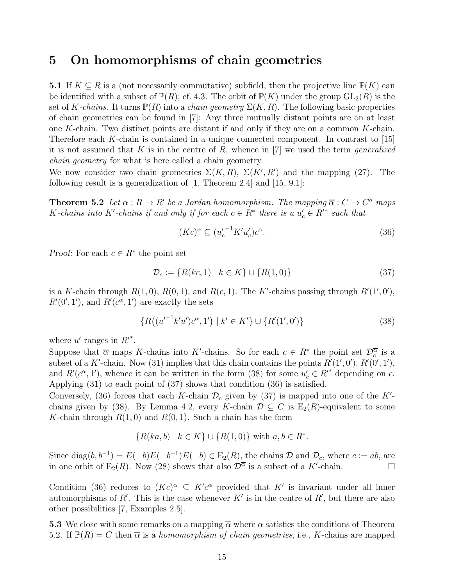### 5 On homomorphisms of chain geometries

5.1 If  $K \subseteq R$  is a (not necessarily commutative) subfield, then the projective line  $\mathbb{P}(K)$  can be identified with a subset of  $\mathbb{P}(R)$ ; cf. 4.3. The orbit of  $\mathbb{P}(K)$  under the group  $GL_2(R)$  is the set of K-chains. It turns  $P(R)$  into a *chain geometry*  $\Sigma(K, R)$ . The following basic properties of chain geometries can be found in [7]: Any three mutually distant points are on at least one K-chain. Two distinct points are distant if and only if they are on a common  $K$ -chain. Therefore each  $K$ -chain is contained in a unique connected component. In contrast to  $[15]$ it is not assumed that K is in the centre of R, whence in [7] we used the term *generalized chain geometry* for what is here called a chain geometry.

We now consider two chain geometries  $\Sigma(K,R)$ ,  $\Sigma(K',R')$  and the mapping (27). The following result is a generalization of [1, Theorem 2.4] and [15, 9.1]:

**Theorem 5.2** Let  $\alpha : R \to R'$  be a Jordan homomorphism. The mapping  $\overline{\alpha} : C \to C''$  maps K-chains into K'-chains if and only if for each  $c \in \mathring{R}^*$  there is a  $u'_c \in \mathring{R}^*$  such that

$$
(Kc)^{\alpha} \subseteq (u_c^{\prime -1} K^{\prime} u_c^{\prime}) c^{\alpha}.
$$
\n(36)

*Proof:* For each  $c \in \mathbb{R}^*$  the point set

$$
\mathcal{D}_c := \{ R(kc, 1) \mid k \in K \} \cup \{ R(1, 0) \}
$$
\n(37)

is a K-chain through  $R(1,0), R(0,1)$ , and  $R(c, 1)$ . The K'-chains passing through  $R'(1',0')$ ,  $R'(0', 1')$ , and  $R'(c^{\alpha}, 1')$  are exactly the sets

$$
\{R\big((u'^{-1}k'u')c^{\alpha},1'\big) \mid k' \in K'\} \cup \{R'(1',0')\} \tag{38}
$$

where  $u'$  ranges in  $R'^*$ .

Suppose that  $\overline{\alpha}$  maps K-chains into K'-chains. So for each  $c \in R^*$  the point set  $\mathcal{D}_c^{\overline{\alpha}}$  is a subset of a K'-chain. Now (31) implies that this chain contains the points  $R'(1', 0'), R'(0', 1'),$ and  $R'(c^{\alpha}, 1')$ , whence it can be written in the form (38) for some  $u'_{c} \in R'^{*}$  depending on c. Applying (31) to each point of (37) shows that condition (36) is satisfied.

Conversely, (36) forces that each K-chain  $\mathcal{D}_c$  given by (37) is mapped into one of the K'chains given by (38). By Lemma 4.2, every K-chain  $\mathcal{D} \subseteq C$  is  $E_2(R)$ -equivalent to some K-chain through  $R(1,0)$  and  $R(0,1)$ . Such a chain has the form

$$
\{R(ka, b) \mid k \in K\} \cup \{R(1, 0)\} \text{ with } a, b \in R^*.
$$

Since diag $(b, b^{-1}) = E(-b)E(-b^{-1})E(-b) \in E_2(R)$ , the chains  $\mathcal D$  and  $\mathcal D_c$ , where  $c := ab$ , are in one orbit of E<sub>2</sub>(R). Now (28) shows that also  $\mathcal{D}^{\overline{\alpha}}$  is a subset of a K'-chain.

Condition (36) reduces to  $(Kc)^{\alpha} \subseteq K'c^{\alpha}$  provided that K' is invariant under all inner automorphisms of  $R'$ . This is the case whenever  $K'$  is in the centre of  $R'$ , but there are also other possibilities [7, Examples 2.5].

5.3 We close with some remarks on a mapping  $\overline{\alpha}$  where  $\alpha$  satisfies the conditions of Theorem 5.2. If  $\mathbb{P}(R) = C$  then  $\overline{\alpha}$  is a *homomorphism of chain geometries*, i.e., K-chains are mapped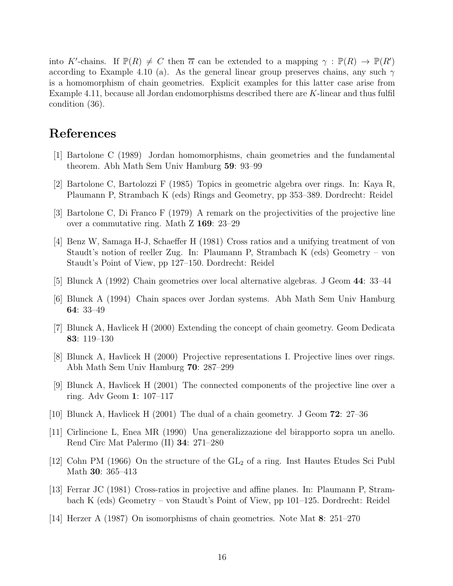into K'-chains. If  $\mathbb{P}(R) \neq C$  then  $\overline{\alpha}$  can be extended to a mapping  $\gamma : \mathbb{P}(R) \to \mathbb{P}(R')$ according to Example 4.10 (a). As the general linear group preserves chains, any such  $\gamma$ is a homomorphism of chain geometries. Explicit examples for this latter case arise from Example 4.11, because all Jordan endomorphisms described there are K-linear and thus fulfil condition (36).

## References

- [1] Bartolone C (1989) Jordan homomorphisms, chain geometries and the fundamental theorem. Abh Math Sem Univ Hamburg 59: 93–99
- [2] Bartolone C, Bartolozzi F (1985) Topics in geometric algebra over rings. In: Kaya R, Plaumann P, Strambach K (eds) Rings and Geometry, pp 353–389. Dordrecht: Reidel
- [3] Bartolone C, Di Franco F (1979) A remark on the projectivities of the projective line over a commutative ring. Math Z 169: 23–29
- [4] Benz W, Samaga H-J, Schaeffer H (1981) Cross ratios and a unifying treatment of von Staudt's notion of reeller Zug. In: Plaumann P, Strambach K (eds) Geometry – von Staudt's Point of View, pp 127–150. Dordrecht: Reidel
- [5] Blunck A (1992) Chain geometries over local alternative algebras. J Geom 44: 33–44
- [6] Blunck A (1994) Chain spaces over Jordan systems. Abh Math Sem Univ Hamburg 64: 33–49
- [7] Blunck A, Havlicek H (2000) Extending the concept of chain geometry. Geom Dedicata 83: 119–130
- [8] Blunck A, Havlicek H (2000) Projective representations I. Projective lines over rings. Abh Math Sem Univ Hamburg 70: 287–299
- [9] Blunck A, Havlicek H (2001) The connected components of the projective line over a ring. Adv Geom 1: 107–117
- [10] Blunck A, Havlicek H (2001) The dual of a chain geometry. J Geom 72: 27–36
- [11] Cirlincione L, Enea MR (1990) Una generalizzazione del birapporto sopra un anello. Rend Circ Mat Palermo (II) 34: 271–280
- [12] Cohn PM (1966) On the structure of the GL<sub>2</sub> of a ring. Inst Hautes Etudes Sci Publ Math 30: 365–413
- [13] Ferrar JC (1981) Cross-ratios in projective and affine planes. In: Plaumann P, Strambach K (eds) Geometry – von Staudt's Point of View, pp 101–125. Dordrecht: Reidel
- [14] Herzer A (1987) On isomorphisms of chain geometries. Note Mat 8: 251–270